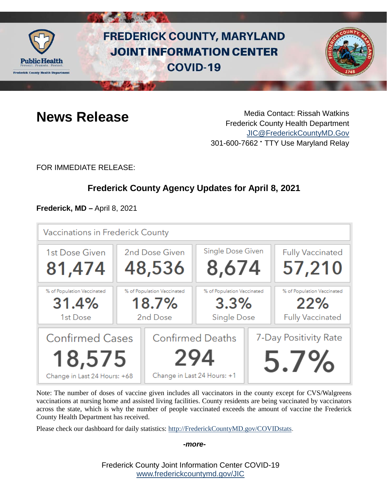

# **FREDERICK COUNTY, MARYLAND JOINT INFORMATION CENTER COVID-19**



**News Release** Media Contact: Rissah Watkins Frederick County Health Department [JIC@FrederickCountyMD.Gov](mailto:JIC@FrederickCountyMD.Gov) 301-600-7662 • TTY Use Maryland Relay

FOR IMMEDIATE RELEASE:

# **Frederick County Agency Updates for April 8, 2021**

**Frederick, MD –** April 8, 2021



Note: The number of doses of vaccine given includes all vaccinators in the county except for CVS/Walgreens vaccinations at nursing home and assisted living facilities. County residents are being vaccinated by vaccinators across the state, which is why the number of people vaccinated exceeds the amount of vaccine the Frederick County Health Department has received.

Please check our dashboard for daily statistics: [http://FrederickCountyMD.gov/COVIDstats.](http://frederickcountymd.gov/COVIDstats)

#### *-more-*

Frederick County Joint Information Center COVID-19 [www.frederickcountymd.gov/JIC](https://frederickcountymd.gov/JIC)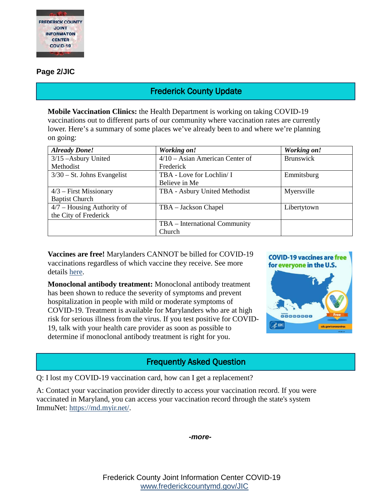

#### **Page 2/JIC**

# Frederick County Update

**Mobile Vaccination Clinics:** the Health Department is working on taking COVID-19 vaccinations out to different parts of our community where vaccination rates are currently lower. Here's a summary of some places we've already been to and where we're planning on going:

| <b>Already Done!</b>          | Working on!                       | Working on!      |
|-------------------------------|-----------------------------------|------------------|
| 3/15 - Asbury United          | $4/10$ – Asian American Center of | <b>Brunswick</b> |
| Methodist                     | Frederick                         |                  |
| $3/30$ – St. Johns Evangelist | TBA - Love for Lochlin/ I         | Emmitsburg       |
|                               | Believe in Me                     |                  |
| $4/3$ – First Missionary      | TBA - Asbury United Methodist     | Myersville       |
| <b>Baptist Church</b>         |                                   |                  |
| $4/7$ – Housing Authority of  | TBA – Jackson Chapel              | Libertytown      |
| the City of Frederick         |                                   |                  |
|                               | TBA – International Community     |                  |
|                               | Church                            |                  |

**Vaccines are free!** Marylanders CANNOT be billed for COVID-19 vaccinations regardless of which vaccine they receive. See more details [here.](https://insurance.maryland.gov/Pages/newscenter/NewsDetails.aspx?NR=2021299)

**Monoclonal antibody treatment:** Monoclonal antibody treatment has been shown to reduce the severity of symptoms and prevent hospitalization in people with mild or moderate symptoms of COVID-19. Treatment is available for Marylanders who are at high risk for serious illness from the virus. If you test positive for COVID-19, talk with your health care provider as soon as possible to determine if monoclonal antibody treatment is right for you.



# Frequently Asked Question

Q: I lost my COVID-19 vaccination card, how can I get a replacement?

A: Contact your vaccination provider directly to access your vaccination record. If you were vaccinated in Maryland, you can access your vaccination record through the state's system ImmuNet: [https://md.myir.net/.](https://md.myir.net/)



Frederick County Joint Information Center COVID-19 [www.frederickcountymd.gov/JIC](https://frederickcountymd.gov/JIC)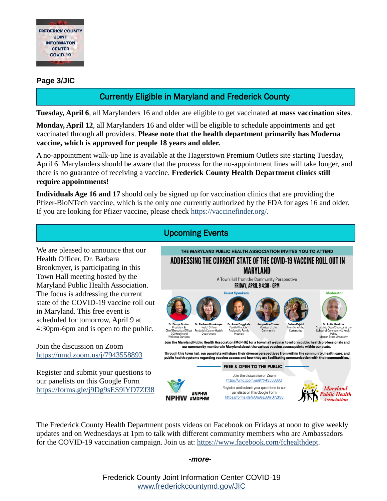

### **Page 3/JIC**

# Currently Eligible in Maryland and Frederick County

**Tuesday, April 6**, all Marylanders 16 and older are eligible to get vaccinated **at mass vaccination sites**.

**Monday, April 12**, all Marylanders 16 and older will be eligible to schedule appointments and get vaccinated through all providers. **Please note that the health department primarily has Moderna vaccine, which is approved for people 18 years and older.**

A no-appointment walk-up line is available at the Hagerstown Premium Outlets site starting Tuesday, April 6. Marylanders should be aware that the process for the no-appointment lines will take longer, and there is no guarantee of receiving a vaccine. **Frederick County Health Department clinics still require appointments!**

**Individuals Age 16 and 17** should only be signed up for vaccination clinics that are providing the Pfizer-BioNTech vaccine, which is the only one currently authorized by the FDA for ages 16 and older. If you are looking for Pfizer vaccine, please check [https://vaccinefinder.org/.](https://vaccinefinder.org/)

We are pleased to announce that our Health Officer, Dr. Barbara Brookmyer, is participating in this Town Hall meeting hosted by the Maryland Public Health Association. The focus is addressing the current state of the COVID-19 vaccine roll out in Maryland. This free event is scheduled for tomorrow, April 9 at 4:30pm-6pm and is open to the public.

Join the discussion on Zoom <https://umd.zoom.us/j/7943558893>

Register and submit your questions to our panelists on this Google Form <https://forms.gle/j9Dg9sES9iYD7Zf38>

# Upcoming Events



The Frederick County Health Department posts videos on Facebook on Fridays at noon to give weekly updates and on Wednesdays at 1pm to talk with different community members who are Ambassadors for the COVID-19 vaccination campaign. Join us at: [https://www.facebook.com/fchealthdept.](https://www.facebook.com/fchealthdept)

#### *-more-*

Frederick County Joint Information Center COVID-19 [www.frederickcountymd.gov/JIC](https://frederickcountymd.gov/JIC)